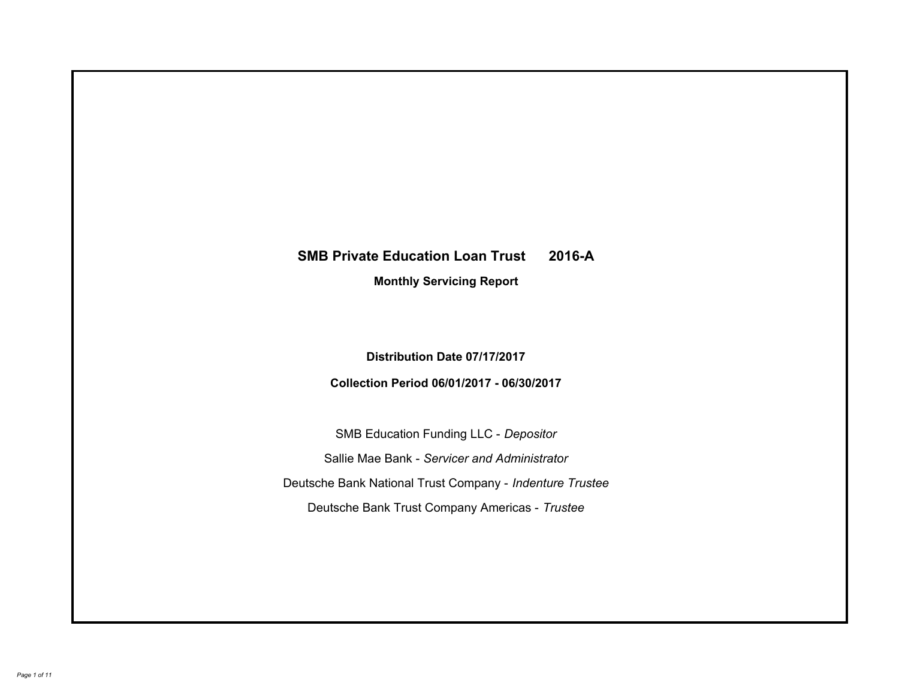# **SMB Private Education Loan Trust 2016-A Monthly Servicing Report**

**Distribution Date 07/17/2017**

**Collection Period 06/01/2017 - 06/30/2017**

SMB Education Funding LLC - *Depositor* Sallie Mae Bank - *Servicer and Administrator* Deutsche Bank National Trust Company - *Indenture Trustee* Deutsche Bank Trust Company Americas - *Trustee*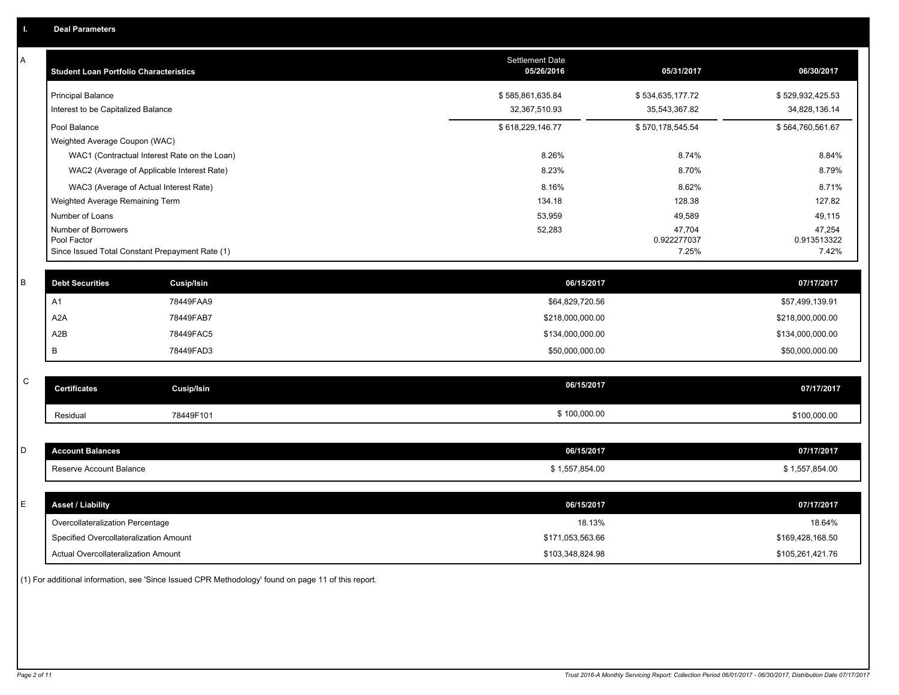| Α           | <b>Student Loan Portfolio Characteristics</b>   |                                              | <b>Settlement Date</b><br>05/26/2016 | 05/31/2017            | 06/30/2017            |
|-------------|-------------------------------------------------|----------------------------------------------|--------------------------------------|-----------------------|-----------------------|
|             | <b>Principal Balance</b>                        |                                              | \$585,861,635.84                     | \$534,635,177.72      | \$529,932,425.53      |
|             | Interest to be Capitalized Balance              |                                              | 32,367,510.93                        | 35,543,367.82         | 34,828,136.14         |
|             | Pool Balance                                    |                                              | \$618,229,146.77                     | \$570,178,545.54      | \$564,760,561.67      |
|             | Weighted Average Coupon (WAC)                   |                                              |                                      |                       |                       |
|             |                                                 | WAC1 (Contractual Interest Rate on the Loan) | 8.26%                                | 8.74%                 | 8.84%                 |
|             | WAC2 (Average of Applicable Interest Rate)      |                                              | 8.23%                                | 8.70%                 | 8.79%                 |
|             | WAC3 (Average of Actual Interest Rate)          |                                              | 8.16%                                | 8.62%                 | 8.71%                 |
|             | Weighted Average Remaining Term                 |                                              | 134.18                               | 128.38                | 127.82                |
|             | Number of Loans                                 |                                              | 53,959                               | 49,589                | 49,115                |
|             | Number of Borrowers<br>Pool Factor              |                                              | 52,283                               | 47,704<br>0.922277037 | 47,254<br>0.913513322 |
|             | Since Issued Total Constant Prepayment Rate (1) |                                              |                                      | 7.25%                 | 7.42%                 |
|             |                                                 |                                              |                                      |                       |                       |
| В           | <b>Debt Securities</b>                          | <b>Cusip/Isin</b>                            | 06/15/2017                           |                       | 07/17/2017            |
|             | A <sub>1</sub>                                  | 78449FAA9                                    | \$64,829,720.56                      |                       | \$57,499,139.91       |
|             | A <sub>2</sub> A                                | 78449FAB7                                    | \$218,000,000.00                     |                       | \$218,000,000.00      |
|             | A2B                                             | 78449FAC5                                    | \$134,000,000.00                     |                       | \$134,000,000.00      |
|             | B                                               | 78449FAD3                                    | \$50,000,000.00                      |                       | \$50,000,000.00       |
|             |                                                 |                                              |                                      |                       |                       |
| $\mathbf C$ | <b>Certificates</b>                             | Cusip/Isin                                   | 06/15/2017                           |                       | 07/17/2017            |
|             | Residual                                        | 78449F101                                    | \$100,000.00                         |                       | \$100,000.00          |
|             |                                                 |                                              |                                      |                       |                       |
| D           | <b>Account Balances</b>                         |                                              | 06/15/2017                           |                       | 07/17/2017            |
|             | Reserve Account Balance                         |                                              | \$1,557,854.00                       |                       | \$1,557,854.00        |
|             |                                                 |                                              |                                      |                       |                       |
| Е           | <b>Asset / Liability</b>                        |                                              | 06/15/2017                           |                       | 07/17/2017            |
|             | Overcollateralization Percentage                |                                              | 18.13%                               |                       | 18.64%                |
|             | Specified Overcollateralization Amount          |                                              | \$171,053,563.66                     |                       | \$169,428,168.50      |
|             | <b>Actual Overcollateralization Amount</b>      |                                              | \$103,348,824.98                     |                       | \$105,261,421.76      |

(1) For additional information, see 'Since Issued CPR Methodology' found on page 11 of this report.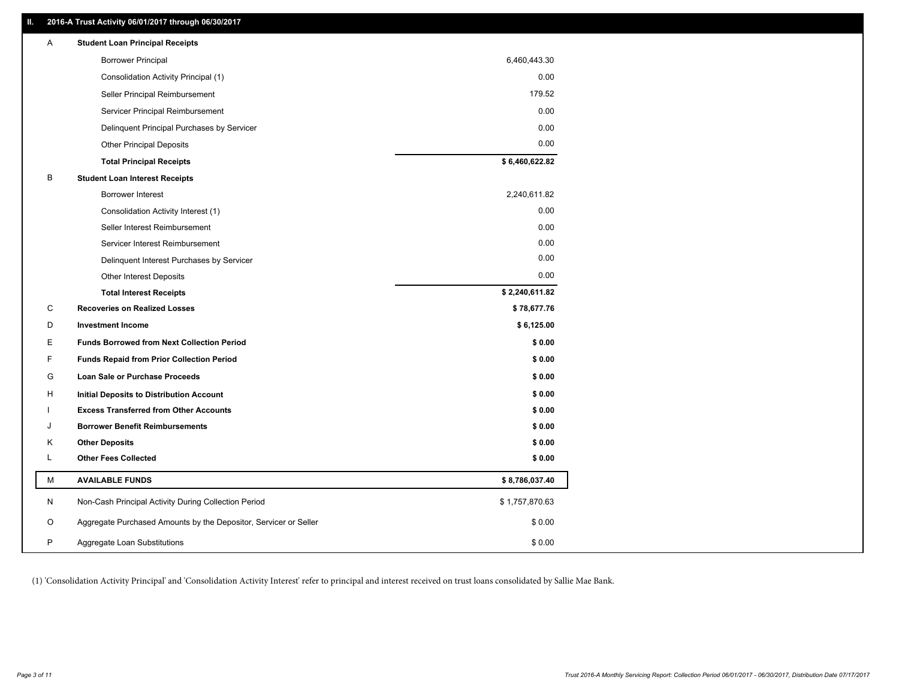# **II. 2016-A Trust Activity 06/01/2017 through 06/30/2017**

| Α | <b>Student Loan Principal Receipts</b>                           |                |
|---|------------------------------------------------------------------|----------------|
|   | <b>Borrower Principal</b>                                        | 6,460,443.30   |
|   | Consolidation Activity Principal (1)                             | 0.00           |
|   | Seller Principal Reimbursement                                   | 179.52         |
|   | Servicer Principal Reimbursement                                 | 0.00           |
|   | Delinquent Principal Purchases by Servicer                       | 0.00           |
|   | <b>Other Principal Deposits</b>                                  | 0.00           |
|   | <b>Total Principal Receipts</b>                                  | \$6,460,622.82 |
| В | <b>Student Loan Interest Receipts</b>                            |                |
|   | Borrower Interest                                                | 2,240,611.82   |
|   | Consolidation Activity Interest (1)                              | 0.00           |
|   | Seller Interest Reimbursement                                    | 0.00           |
|   | Servicer Interest Reimbursement                                  | 0.00           |
|   | Delinquent Interest Purchases by Servicer                        | 0.00           |
|   | <b>Other Interest Deposits</b>                                   | 0.00           |
|   | <b>Total Interest Receipts</b>                                   | \$2,240,611.82 |
| C | <b>Recoveries on Realized Losses</b>                             | \$78,677.76    |
| D | <b>Investment Income</b>                                         | \$6,125.00     |
| Е | <b>Funds Borrowed from Next Collection Period</b>                | \$0.00         |
| F | <b>Funds Repaid from Prior Collection Period</b>                 | \$0.00         |
| G | Loan Sale or Purchase Proceeds                                   | \$0.00         |
| H | Initial Deposits to Distribution Account                         | \$0.00         |
|   | <b>Excess Transferred from Other Accounts</b>                    | \$0.00         |
| J | <b>Borrower Benefit Reimbursements</b>                           | \$0.00         |
| Κ | <b>Other Deposits</b>                                            | \$0.00         |
| L | <b>Other Fees Collected</b>                                      | \$0.00         |
| м | <b>AVAILABLE FUNDS</b>                                           | \$8,786,037.40 |
| N | Non-Cash Principal Activity During Collection Period             | \$1,757,870.63 |
| O | Aggregate Purchased Amounts by the Depositor, Servicer or Seller | \$0.00         |
| P | Aggregate Loan Substitutions                                     | \$0.00         |

(1) 'Consolidation Activity Principal' and 'Consolidation Activity Interest' refer to principal and interest received on trust loans consolidated by Sallie Mae Bank.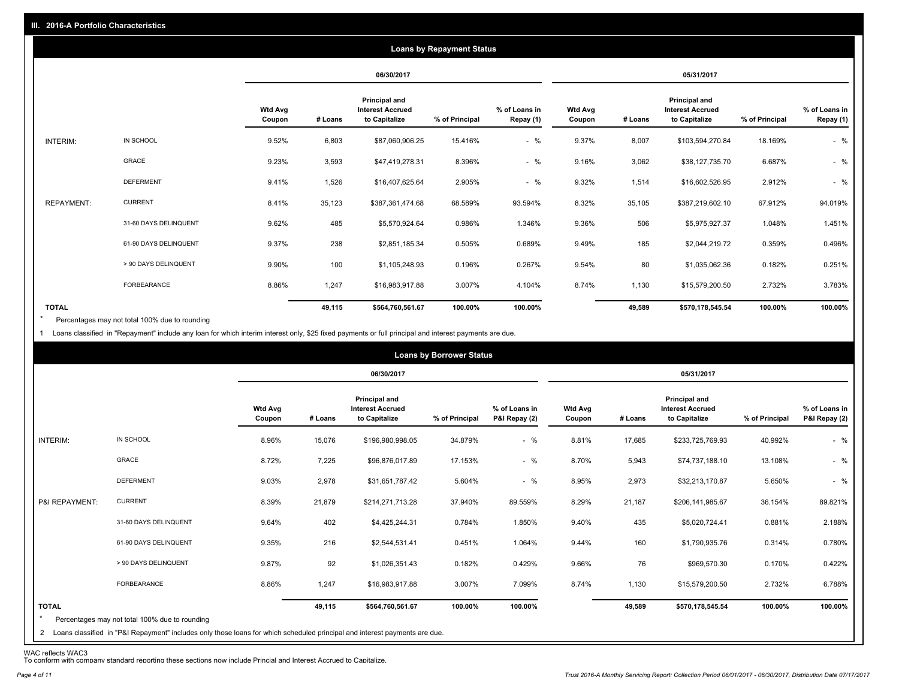|                   |                       |                          |         |                                                           | <b>Loans by Repayment Status</b> |                            |                          |         |                                                           |                |                            |
|-------------------|-----------------------|--------------------------|---------|-----------------------------------------------------------|----------------------------------|----------------------------|--------------------------|---------|-----------------------------------------------------------|----------------|----------------------------|
|                   |                       |                          |         | 06/30/2017                                                |                                  |                            |                          |         | 05/31/2017                                                |                |                            |
|                   |                       | <b>Wtd Avg</b><br>Coupon | # Loans | Principal and<br><b>Interest Accrued</b><br>to Capitalize | % of Principal                   | % of Loans in<br>Repay (1) | <b>Wtd Avg</b><br>Coupon | # Loans | Principal and<br><b>Interest Accrued</b><br>to Capitalize | % of Principal | % of Loans in<br>Repay (1) |
| INTERIM:          | IN SCHOOL             | 9.52%                    | 6,803   | \$87,060,906.25                                           | 15.416%                          | $-$ %                      | 9.37%                    | 8,007   | \$103,594,270.84                                          | 18.169%        | $-$ %                      |
|                   | GRACE                 | 9.23%                    | 3,593   | \$47,419,278.31                                           | 8.396%                           | $-$ %                      | 9.16%                    | 3,062   | \$38,127,735.70                                           | 6.687%         | $-$ %                      |
|                   | <b>DEFERMENT</b>      | 9.41%                    | 1,526   | \$16,407,625.64                                           | 2.905%                           | $-$ %                      | 9.32%                    | 1,514   | \$16,602,526.95                                           | 2.912%         | $-$ %                      |
| <b>REPAYMENT:</b> | <b>CURRENT</b>        | 8.41%                    | 35,123  | \$387,361,474.68                                          | 68.589%                          | 93.594%                    | 8.32%                    | 35,105  | \$387,219,602.10                                          | 67.912%        | 94.019%                    |
|                   | 31-60 DAYS DELINQUENT | 9.62%                    | 485     | \$5,570,924.64                                            | 0.986%                           | 1.346%                     | 9.36%                    | 506     | \$5,975,927.37                                            | 1.048%         | 1.451%                     |
|                   | 61-90 DAYS DELINQUENT | 9.37%                    | 238     | \$2,851,185.34                                            | 0.505%                           | 0.689%                     | 9.49%                    | 185     | \$2,044,219.72                                            | 0.359%         | 0.496%                     |
|                   | > 90 DAYS DELINQUENT  | 9.90%                    | 100     | \$1,105,248.93                                            | 0.196%                           | 0.267%                     | 9.54%                    | 80      | \$1,035,062.36                                            | 0.182%         | 0.251%                     |
|                   | FORBEARANCE           | 8.86%                    | 1,247   | \$16,983,917.88                                           | 3.007%                           | 4.104%                     | 8.74%                    | 1,130   | \$15,579,200.50                                           | 2.732%         | 3.783%                     |
| <b>TOTAL</b>      |                       |                          | 49,115  | \$564,760,561.67                                          | 100.00%                          | 100.00%                    |                          | 49,589  | \$570,178,545.54                                          | 100.00%        | 100.00%                    |

Percentages may not total 100% due to rounding \*

1 Loans classified in "Repayment" include any loan for which interim interest only, \$25 fixed payments or full principal and interest payments are due.

|                         |                                                                                                                              |                          |         |                                                           | <b>Loans by Borrower Status</b> |                                |                          |         |                                                           |                |                                |
|-------------------------|------------------------------------------------------------------------------------------------------------------------------|--------------------------|---------|-----------------------------------------------------------|---------------------------------|--------------------------------|--------------------------|---------|-----------------------------------------------------------|----------------|--------------------------------|
|                         |                                                                                                                              |                          |         | 06/30/2017                                                |                                 |                                |                          |         | 05/31/2017                                                |                |                                |
|                         |                                                                                                                              | <b>Wtd Avg</b><br>Coupon | # Loans | Principal and<br><b>Interest Accrued</b><br>to Capitalize | % of Principal                  | % of Loans in<br>P&I Repay (2) | <b>Wtd Avg</b><br>Coupon | # Loans | Principal and<br><b>Interest Accrued</b><br>to Capitalize | % of Principal | % of Loans in<br>P&I Repay (2) |
| INTERIM:                | IN SCHOOL                                                                                                                    | 8.96%                    | 15,076  | \$196,980,998.05                                          | 34.879%                         | $-$ %                          | 8.81%                    | 17,685  | \$233,725,769.93                                          | 40.992%        | $-$ %                          |
|                         | <b>GRACE</b>                                                                                                                 | 8.72%                    | 7,225   | \$96,876,017.89                                           | 17.153%                         | $-$ %                          | 8.70%                    | 5,943   | \$74,737,188.10                                           | 13.108%        | $-$ %                          |
|                         | <b>DEFERMENT</b>                                                                                                             | 9.03%                    | 2,978   | \$31,651,787.42                                           | 5.604%                          | $-$ %                          | 8.95%                    | 2,973   | \$32,213,170.87                                           | 5.650%         | $-$ %                          |
| P&I REPAYMENT:          | <b>CURRENT</b>                                                                                                               | 8.39%                    | 21,879  | \$214,271,713.28                                          | 37.940%                         | 89.559%                        | 8.29%                    | 21,187  | \$206,141,985.67                                          | 36.154%        | 89.821%                        |
|                         | 31-60 DAYS DELINQUENT                                                                                                        | 9.64%                    | 402     | \$4,425,244.31                                            | 0.784%                          | 1.850%                         | 9.40%                    | 435     | \$5,020,724.41                                            | 0.881%         | 2.188%                         |
|                         | 61-90 DAYS DELINQUENT                                                                                                        | 9.35%                    | 216     | \$2,544,531.41                                            | 0.451%                          | 1.064%                         | 9.44%                    | 160     | \$1,790,935.76                                            | 0.314%         | 0.780%                         |
|                         | > 90 DAYS DELINQUENT                                                                                                         | 9.87%                    | 92      | \$1,026,351.43                                            | 0.182%                          | 0.429%                         | 9.66%                    | 76      | \$969,570.30                                              | 0.170%         | 0.422%                         |
|                         | <b>FORBEARANCE</b>                                                                                                           | 8.86%                    | 1,247   | \$16,983,917.88                                           | 3.007%                          | 7.099%                         | 8.74%                    | 1,130   | \$15,579,200.50                                           | 2.732%         | 6.788%                         |
| <b>TOTAL</b><br>$\star$ | Percentages may not total 100% due to rounding                                                                               |                          | 49,115  | \$564,760,561.67                                          | 100.00%                         | 100.00%                        |                          | 49,589  | \$570,178,545.54                                          | 100.00%        | 100.00%                        |
|                         | 2 Loans classified in "P&I Repayment" includes only those loans for which scheduled principal and interest payments are due. |                          |         |                                                           |                                 |                                |                          |         |                                                           |                |                                |

WAC reflects WAC3 To conform with company standard reporting these sections now include Princial and Interest Accrued to Capitalize.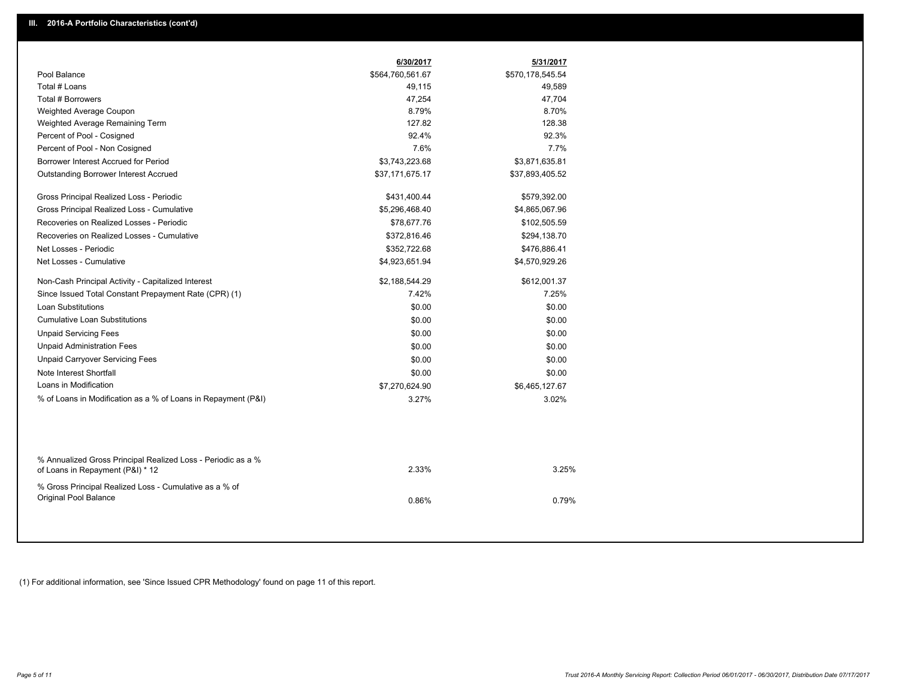|                                                                                                  | 6/30/2017        | 5/31/2017        |
|--------------------------------------------------------------------------------------------------|------------------|------------------|
| Pool Balance                                                                                     | \$564,760,561.67 | \$570,178,545.54 |
| Total # Loans                                                                                    | 49,115           | 49,589           |
| Total # Borrowers                                                                                | 47,254           | 47,704           |
| Weighted Average Coupon                                                                          | 8.79%            | 8.70%            |
| Weighted Average Remaining Term                                                                  | 127.82           | 128.38           |
| Percent of Pool - Cosigned                                                                       | 92.4%            | 92.3%            |
| Percent of Pool - Non Cosigned                                                                   | 7.6%             | 7.7%             |
| Borrower Interest Accrued for Period                                                             | \$3,743,223.68   | \$3,871,635.81   |
| Outstanding Borrower Interest Accrued                                                            | \$37,171,675.17  | \$37,893,405.52  |
| Gross Principal Realized Loss - Periodic                                                         | \$431,400.44     | \$579,392.00     |
| Gross Principal Realized Loss - Cumulative                                                       | \$5,296,468.40   | \$4,865,067.96   |
| Recoveries on Realized Losses - Periodic                                                         | \$78,677.76      | \$102,505.59     |
| Recoveries on Realized Losses - Cumulative                                                       | \$372,816.46     | \$294,138.70     |
| Net Losses - Periodic                                                                            | \$352,722.68     | \$476,886.41     |
| Net Losses - Cumulative                                                                          | \$4,923,651.94   | \$4,570,929.26   |
| Non-Cash Principal Activity - Capitalized Interest                                               | \$2,188,544.29   | \$612,001.37     |
| Since Issued Total Constant Prepayment Rate (CPR) (1)                                            | 7.42%            | 7.25%            |
| <b>Loan Substitutions</b>                                                                        | \$0.00           | \$0.00           |
| <b>Cumulative Loan Substitutions</b>                                                             | \$0.00           | \$0.00           |
| <b>Unpaid Servicing Fees</b>                                                                     | \$0.00           | \$0.00           |
| <b>Unpaid Administration Fees</b>                                                                | \$0.00           | \$0.00           |
| <b>Unpaid Carryover Servicing Fees</b>                                                           | \$0.00           | \$0.00           |
| Note Interest Shortfall                                                                          | \$0.00           | \$0.00           |
| Loans in Modification                                                                            | \$7,270,624.90   | \$6,465,127.67   |
| % of Loans in Modification as a % of Loans in Repayment (P&I)                                    | 3.27%            | 3.02%            |
|                                                                                                  |                  |                  |
| % Annualized Gross Principal Realized Loss - Periodic as a %<br>of Loans in Repayment (P&I) * 12 | 2.33%            | 3.25%            |
| % Gross Principal Realized Loss - Cumulative as a % of<br>Original Pool Balance                  | 0.86%            | 0.79%            |

(1) For additional information, see 'Since Issued CPR Methodology' found on page 11 of this report.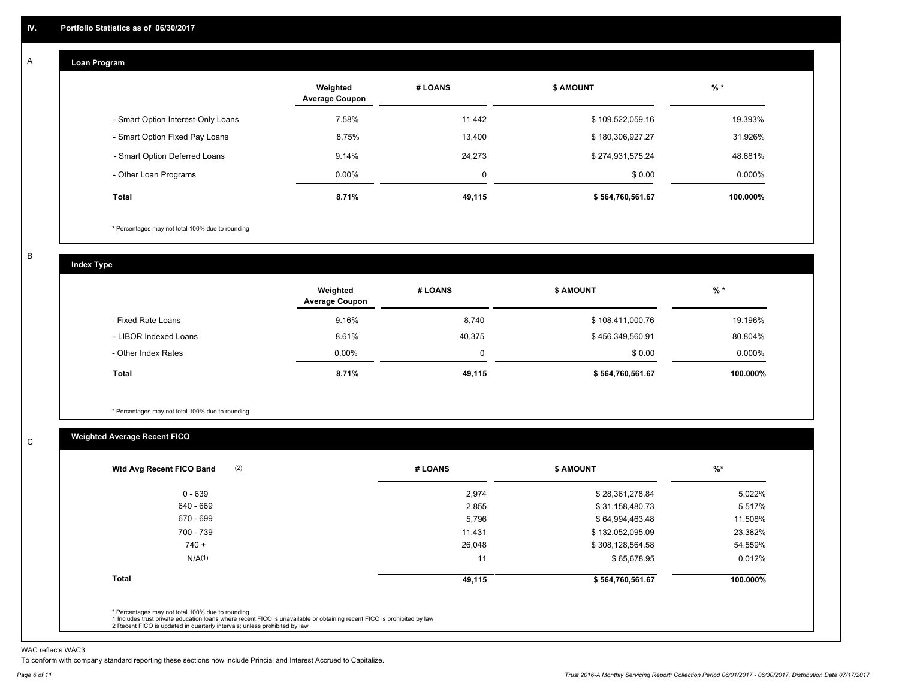#### **Loan Program**  A

|                                    | Weighted<br><b>Average Coupon</b> | # LOANS | <b>\$ AMOUNT</b> | $%$ *     |
|------------------------------------|-----------------------------------|---------|------------------|-----------|
| - Smart Option Interest-Only Loans | 7.58%                             | 11.442  | \$109,522,059.16 | 19.393%   |
| - Smart Option Fixed Pay Loans     | 8.75%                             | 13,400  | \$180,306,927.27 | 31.926%   |
| - Smart Option Deferred Loans      | 9.14%                             | 24,273  | \$274,931,575.24 | 48.681%   |
| - Other Loan Programs              | $0.00\%$                          | 0       | \$0.00           | $0.000\%$ |
| <b>Total</b>                       | 8.71%                             | 49,115  | \$564,760,561.67 | 100.000%  |

\* Percentages may not total 100% due to rounding

B

C

**Index Type**

|                       | Weighted<br><b>Average Coupon</b> | # LOANS | <b>S AMOUNT</b>  | $%$ *     |
|-----------------------|-----------------------------------|---------|------------------|-----------|
| - Fixed Rate Loans    | 9.16%                             | 8,740   | \$108,411,000.76 | 19.196%   |
| - LIBOR Indexed Loans | 8.61%                             | 40,375  | \$456,349,560.91 | 80.804%   |
| - Other Index Rates   | $0.00\%$                          | 0       | \$0.00           | $0.000\%$ |
| Total                 | 8.71%                             | 49,115  | \$564,760,561.67 | 100.000%  |

\* Percentages may not total 100% due to rounding

## **Weighted Average Recent FICO**

| (2)<br>Wtd Avg Recent FICO Band | # LOANS | <b>\$ AMOUNT</b> | $%$ *    |
|---------------------------------|---------|------------------|----------|
| $0 - 639$                       | 2,974   | \$28,361,278.84  | 5.022%   |
| 640 - 669                       | 2,855   | \$31,158,480.73  | 5.517%   |
| 670 - 699                       | 5,796   | \$64,994,463.48  | 11.508%  |
| 700 - 739                       | 11,431  | \$132,052,095.09 | 23.382%  |
| $740 +$                         | 26,048  | \$308,128,564.58 | 54.559%  |
| N/A <sup>(1)</sup>              | 11      | \$65,678.95      | 0.012%   |
| <b>Total</b>                    | 49,115  | \$564,760,561.67 | 100.000% |

WAC reflects WAC3

To conform with company standard reporting these sections now include Princial and Interest Accrued to Capitalize.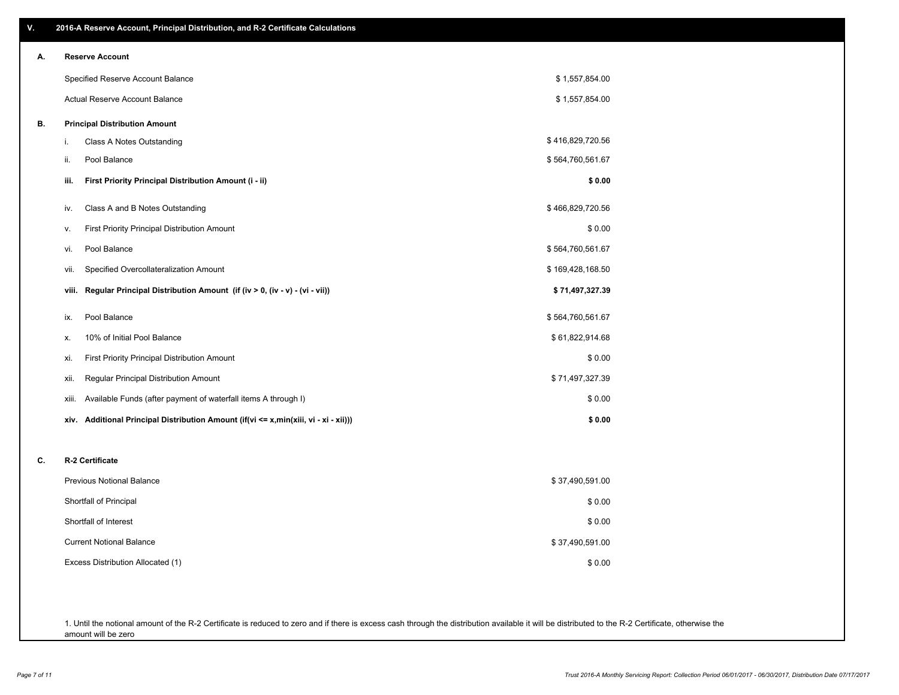| V. | 2016-A Reserve Account, Principal Distribution, and R-2 Certificate Calculations     |                  |
|----|--------------------------------------------------------------------------------------|------------------|
| А. | <b>Reserve Account</b>                                                               |                  |
|    | Specified Reserve Account Balance                                                    | \$1,557,854.00   |
|    | Actual Reserve Account Balance                                                       | \$1,557,854.00   |
| В. | <b>Principal Distribution Amount</b>                                                 |                  |
|    | Class A Notes Outstanding<br>i.                                                      | \$416,829,720.56 |
|    | Pool Balance<br>ii.                                                                  | \$564,760,561.67 |
|    | First Priority Principal Distribution Amount (i - ii)<br>iii.                        | \$0.00           |
|    | Class A and B Notes Outstanding<br>iv.                                               | \$466,829,720.56 |
|    | First Priority Principal Distribution Amount<br>V.                                   | \$0.00           |
|    | Pool Balance<br>vi.                                                                  | \$564,760,561.67 |
|    | Specified Overcollateralization Amount<br>Vii.                                       | \$169,428,168.50 |
|    | Regular Principal Distribution Amount (if (iv > 0, (iv - v) - (vi - vii))<br>viii.   | \$71,497,327.39  |
|    | Pool Balance<br>ix.                                                                  | \$564,760,561.67 |
|    | 10% of Initial Pool Balance<br>х.                                                    | \$61,822,914.68  |
|    | <b>First Priority Principal Distribution Amount</b><br>xi.                           | \$0.00           |
|    | Regular Principal Distribution Amount<br>xii.                                        | \$71,497,327.39  |
|    | Available Funds (after payment of waterfall items A through I)<br>xiii.              | \$0.00           |
|    | xiv. Additional Principal Distribution Amount (if(vi <= x,min(xiii, vi - xi - xii))) | \$0.00           |
| c. | R-2 Certificate                                                                      |                  |
|    | Previous Notional Balance                                                            | \$37,490,591.00  |
|    | Shortfall of Principal                                                               | \$0.00           |
|    | Shortfall of Interest                                                                | \$0.00           |
|    | <b>Current Notional Balance</b>                                                      | \$37,490,591.00  |
|    | Excess Distribution Allocated (1)                                                    | \$0.00           |
|    |                                                                                      |                  |
|    |                                                                                      |                  |

1. Until the notional amount of the R-2 Certificate is reduced to zero and if there is excess cash through the distribution available it will be distributed to the R-2 Certificate, otherwise the amount will be zero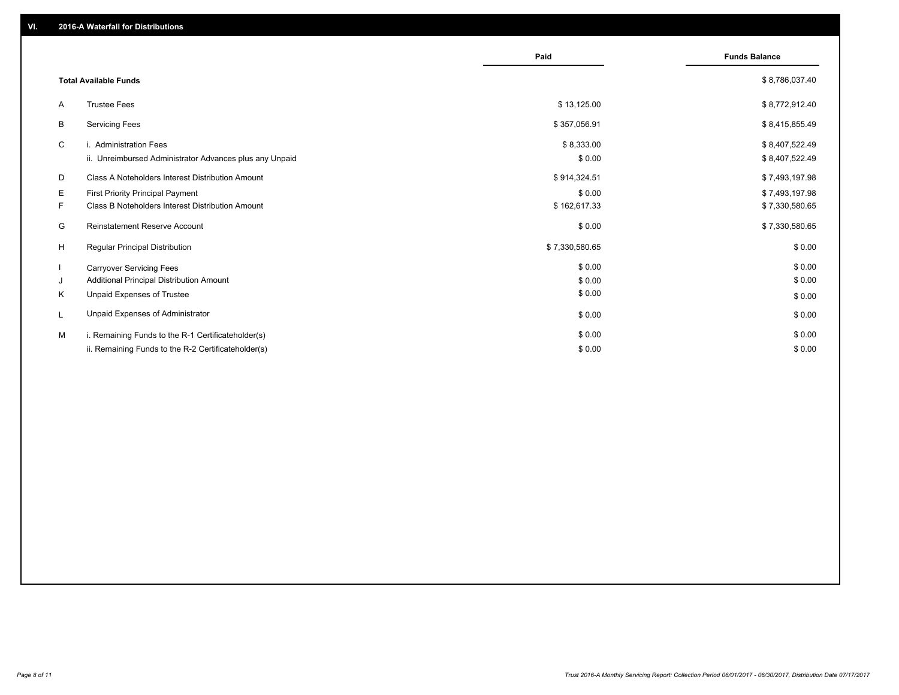|                          |                                                         | Paid           | <b>Funds Balance</b> |
|--------------------------|---------------------------------------------------------|----------------|----------------------|
|                          | <b>Total Available Funds</b>                            |                | \$8,786,037.40       |
| A                        | <b>Trustee Fees</b>                                     | \$13,125.00    | \$8,772,912.40       |
| В                        | <b>Servicing Fees</b>                                   | \$357,056.91   | \$8,415,855.49       |
| C                        | i. Administration Fees                                  | \$8,333.00     | \$8,407,522.49       |
|                          | ii. Unreimbursed Administrator Advances plus any Unpaid | \$0.00         | \$8,407,522.49       |
| D                        | Class A Noteholders Interest Distribution Amount        | \$914,324.51   | \$7,493,197.98       |
| Е                        | <b>First Priority Principal Payment</b>                 | \$0.00         | \$7,493,197.98       |
| F.                       | Class B Noteholders Interest Distribution Amount        | \$162,617.33   | \$7,330,580.65       |
| G                        | Reinstatement Reserve Account                           | \$0.00         | \$7,330,580.65       |
| H                        | <b>Regular Principal Distribution</b>                   | \$7,330,580.65 | \$0.00               |
| $\overline{\phantom{a}}$ | <b>Carryover Servicing Fees</b>                         | \$0.00         | \$0.00               |
| J                        | Additional Principal Distribution Amount                | \$0.00         | \$0.00               |
| Κ                        | Unpaid Expenses of Trustee                              | \$0.00         | \$0.00               |
| L                        | Unpaid Expenses of Administrator                        | \$0.00         | \$0.00               |
| М                        | i. Remaining Funds to the R-1 Certificateholder(s)      | \$0.00         | \$0.00               |
|                          | ii. Remaining Funds to the R-2 Certificateholder(s)     | \$0.00         | \$0.00               |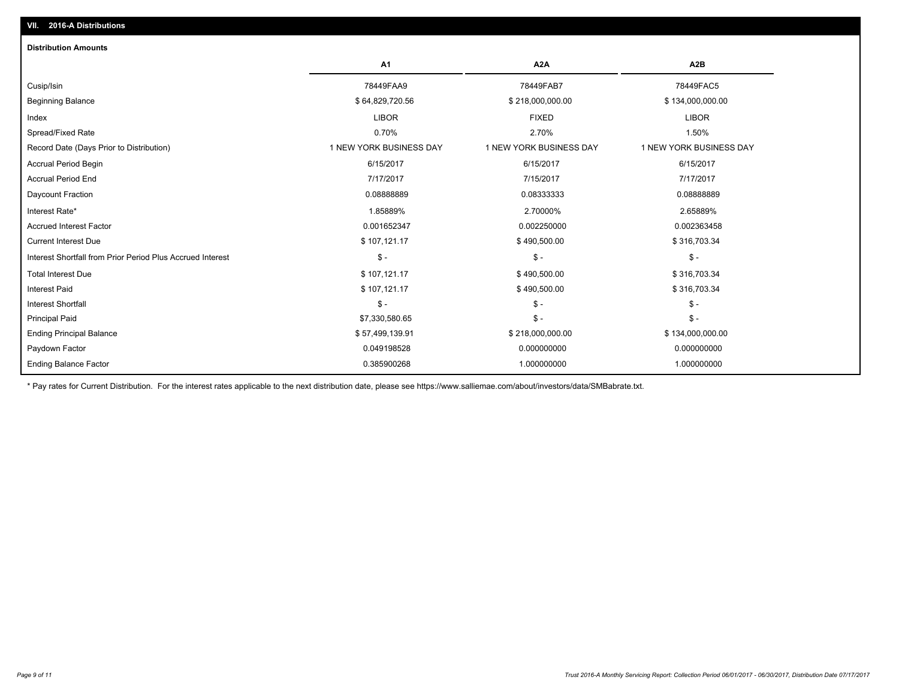| <b>Distribution Amounts</b>                                |                         |                         |                         |
|------------------------------------------------------------|-------------------------|-------------------------|-------------------------|
|                                                            | A <sub>1</sub>          | A2A                     | A2B                     |
| Cusip/Isin                                                 | 78449FAA9               | 78449FAB7               | 78449FAC5               |
| <b>Beginning Balance</b>                                   | \$64,829,720.56         | \$218,000,000.00        | \$134,000,000.00        |
| Index                                                      | <b>LIBOR</b>            | <b>FIXED</b>            | <b>LIBOR</b>            |
| Spread/Fixed Rate                                          | 0.70%                   | 2.70%                   | 1.50%                   |
| Record Date (Days Prior to Distribution)                   | 1 NEW YORK BUSINESS DAY | 1 NEW YORK BUSINESS DAY | 1 NEW YORK BUSINESS DAY |
| <b>Accrual Period Begin</b>                                | 6/15/2017               | 6/15/2017               | 6/15/2017               |
| <b>Accrual Period End</b>                                  | 7/17/2017               | 7/15/2017               | 7/17/2017               |
| Daycount Fraction                                          | 0.08888889              | 0.08333333              | 0.08888889              |
| Interest Rate*                                             | 1.85889%                | 2.70000%                | 2.65889%                |
| <b>Accrued Interest Factor</b>                             | 0.001652347             | 0.002250000             | 0.002363458             |
| <b>Current Interest Due</b>                                | \$107,121.17            | \$490,500.00            | \$316,703.34            |
| Interest Shortfall from Prior Period Plus Accrued Interest | $\mathsf{\$}$ -         | $\mathsf{\$}$ -         | $\mathsf{\$}$ -         |
| <b>Total Interest Due</b>                                  | \$107,121.17            | \$490,500.00            | \$316,703.34            |
| <b>Interest Paid</b>                                       | \$107,121.17            | \$490,500.00            | \$316,703.34            |
| <b>Interest Shortfall</b>                                  | $\mathsf{\$}$ -         | $\mathsf{\$}$ -         | $\mathsf{\$}$ -         |
| <b>Principal Paid</b>                                      | \$7,330,580.65          | $\mathsf{\$}$ -         | $\mathsf{\$}$ -         |
| <b>Ending Principal Balance</b>                            | \$57,499,139.91         | \$218,000,000.00        | \$134,000,000.00        |
| Paydown Factor                                             | 0.049198528             | 0.000000000             | 0.000000000             |
| <b>Ending Balance Factor</b>                               | 0.385900268             | 1.000000000             | 1.000000000             |

\* Pay rates for Current Distribution. For the interest rates applicable to the next distribution date, please see https://www.salliemae.com/about/investors/data/SMBabrate.txt.

**VII. 2016-A Distributions**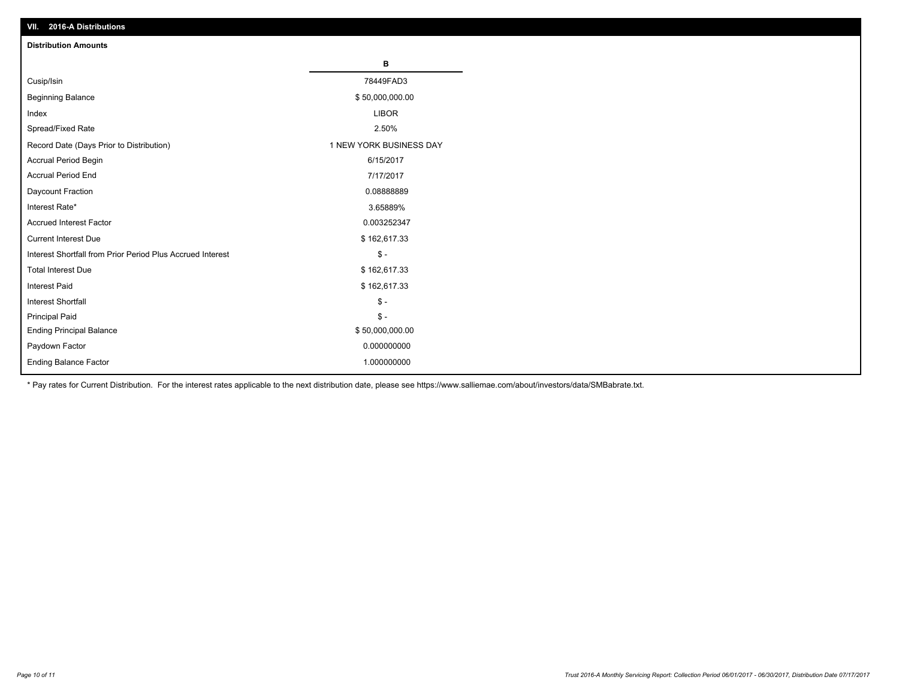| VII. 40 IV-A DISTINUTIONS                                  |                         |
|------------------------------------------------------------|-------------------------|
| <b>Distribution Amounts</b>                                |                         |
|                                                            | В                       |
| Cusip/Isin                                                 | 78449FAD3               |
| <b>Beginning Balance</b>                                   | \$50,000,000.00         |
| Index                                                      | <b>LIBOR</b>            |
| Spread/Fixed Rate                                          | 2.50%                   |
| Record Date (Days Prior to Distribution)                   | 1 NEW YORK BUSINESS DAY |
| Accrual Period Begin                                       | 6/15/2017               |
| <b>Accrual Period End</b>                                  | 7/17/2017               |
| Daycount Fraction                                          | 0.0888889               |
| Interest Rate*                                             | 3.65889%                |
| <b>Accrued Interest Factor</b>                             | 0.003252347             |
| <b>Current Interest Due</b>                                | \$162,617.33            |
| Interest Shortfall from Prior Period Plus Accrued Interest | $\mathsf{\$}$ -         |
| <b>Total Interest Due</b>                                  | \$162,617.33            |
| <b>Interest Paid</b>                                       | \$162,617.33            |
| <b>Interest Shortfall</b>                                  | $\mathsf{\$}$ -         |
| <b>Principal Paid</b>                                      | $\mathsf{\$}$ -         |
| <b>Ending Principal Balance</b>                            | \$50,000,000.00         |
| Paydown Factor                                             | 0.000000000             |
| <b>Ending Balance Factor</b>                               | 1.000000000             |

\* Pay rates for Current Distribution. For the interest rates applicable to the next distribution date, please see https://www.salliemae.com/about/investors/data/SMBabrate.txt.

**VII. 2016-A Distributions**